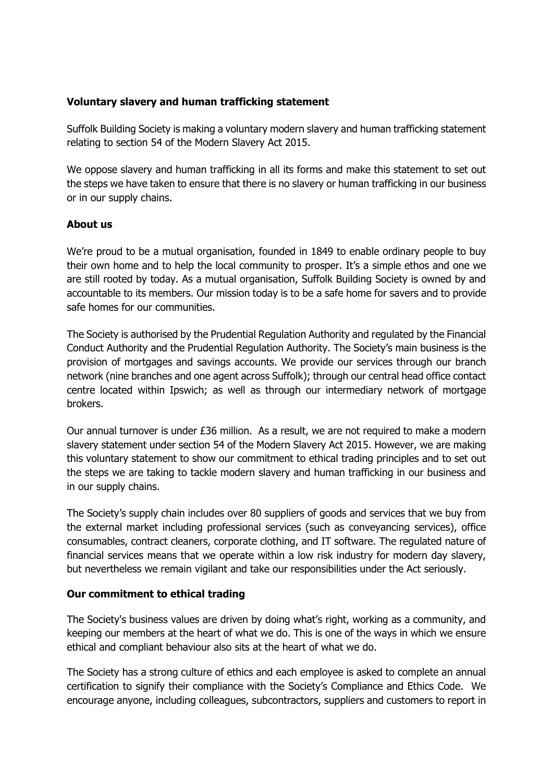## **Voluntary slavery and human trafficking statement**

Suffolk Building Society is making a voluntary modern slavery and human trafficking statement relating to section 54 of the Modern Slavery Act 2015.

We oppose slavery and human trafficking in all its forms and make this statement to set out the steps we have taken to ensure that there is no slavery or human trafficking in our business or in our supply chains.

## **About us**

We're proud to be a mutual organisation, founded in 1849 to enable ordinary people to buy their own home and to help the local community to prosper. It's a simple ethos and one we are still rooted by today. As a mutual organisation, Suffolk Building Society is owned by and accountable to its members. Our mission today is to be a safe home for savers and to provide safe homes for our communities.

The Society is authorised by the Prudential Regulation Authority and regulated by the Financial Conduct Authority and the Prudential Regulation Authority. The Society's main business is the provision of mortgages and savings accounts. We provide our services through our branch network (nine branches and one agent across Suffolk); through our central head office contact centre located within Ipswich; as well as through our intermediary network of mortgage brokers.

Our annual turnover is under £36 million. As a result, we are not required to make a modern slavery statement under section 54 of the Modern Slavery Act 2015. However, we are making this voluntary statement to show our commitment to ethical trading principles and to set out the steps we are taking to tackle modern slavery and human trafficking in our business and in our supply chains.

The Society's supply chain includes over 80 suppliers of goods and services that we buy from the external market including professional services (such as conveyancing services), office consumables, contract cleaners, corporate clothing, and IT software. The regulated nature of financial services means that we operate within a low risk industry for modern day slavery, but nevertheless we remain vigilant and take our responsibilities under the Act seriously.

## **Our commitment to ethical trading**

The Society's business values are driven by doing what's right, working as a community, and keeping our members at the heart of what we do. This is one of the ways in which we ensure ethical and compliant behaviour also sits at the heart of what we do.

The Society has a strong culture of ethics and each employee is asked to complete an annual certification to signify their compliance with the Society's Compliance and Ethics Code. We encourage anyone, including colleagues, subcontractors, suppliers and customers to report in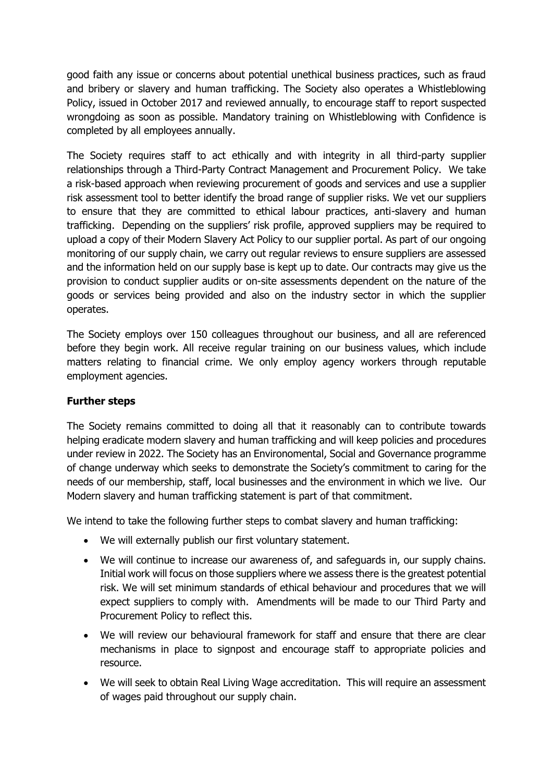good faith any issue or concerns about potential unethical business practices, such as fraud and bribery or slavery and human trafficking. The Society also operates a Whistleblowing Policy, issued in October 2017 and reviewed annually, to encourage staff to report suspected wrongdoing as soon as possible. Mandatory training on Whistleblowing with Confidence is completed by all employees annually.

The Society requires staff to act ethically and with integrity in all third-party supplier relationships through a Third-Party Contract Management and Procurement Policy. We take a risk-based approach when reviewing procurement of goods and services and use a supplier risk assessment tool to better identify the broad range of supplier risks. We vet our suppliers to ensure that they are committed to ethical labour practices, anti-slavery and human trafficking. Depending on the suppliers' risk profile, approved suppliers may be required to upload a copy of their Modern Slavery Act Policy to our supplier portal. As part of our ongoing monitoring of our supply chain, we carry out regular reviews to ensure suppliers are assessed and the information held on our supply base is kept up to date. Our contracts may give us the provision to conduct supplier audits or on-site assessments dependent on the nature of the goods or services being provided and also on the industry sector in which the supplier operates.

The Society employs over 150 colleagues throughout our business, and all are referenced before they begin work. All receive regular training on our business values, which include matters relating to financial crime. We only employ agency workers through reputable employment agencies.

## **Further steps**

The Society remains committed to doing all that it reasonably can to contribute towards helping eradicate modern slavery and human trafficking and will keep policies and procedures under review in 2022. The Society has an Environomental, Social and Governance programme of change underway which seeks to demonstrate the Society's commitment to caring for the needs of our membership, staff, local businesses and the environment in which we live. Our Modern slavery and human trafficking statement is part of that commitment.

We intend to take the following further steps to combat slavery and human trafficking:

- We will externally publish our first voluntary statement.
- We will continue to increase our awareness of, and safeguards in, our supply chains. Initial work will focus on those suppliers where we assess there is the greatest potential risk. We will set minimum standards of ethical behaviour and procedures that we will expect suppliers to comply with. Amendments will be made to our Third Party and Procurement Policy to reflect this.
- We will review our behavioural framework for staff and ensure that there are clear mechanisms in place to signpost and encourage staff to appropriate policies and resource.
- We will seek to obtain Real Living Wage accreditation. This will require an assessment of wages paid throughout our supply chain.